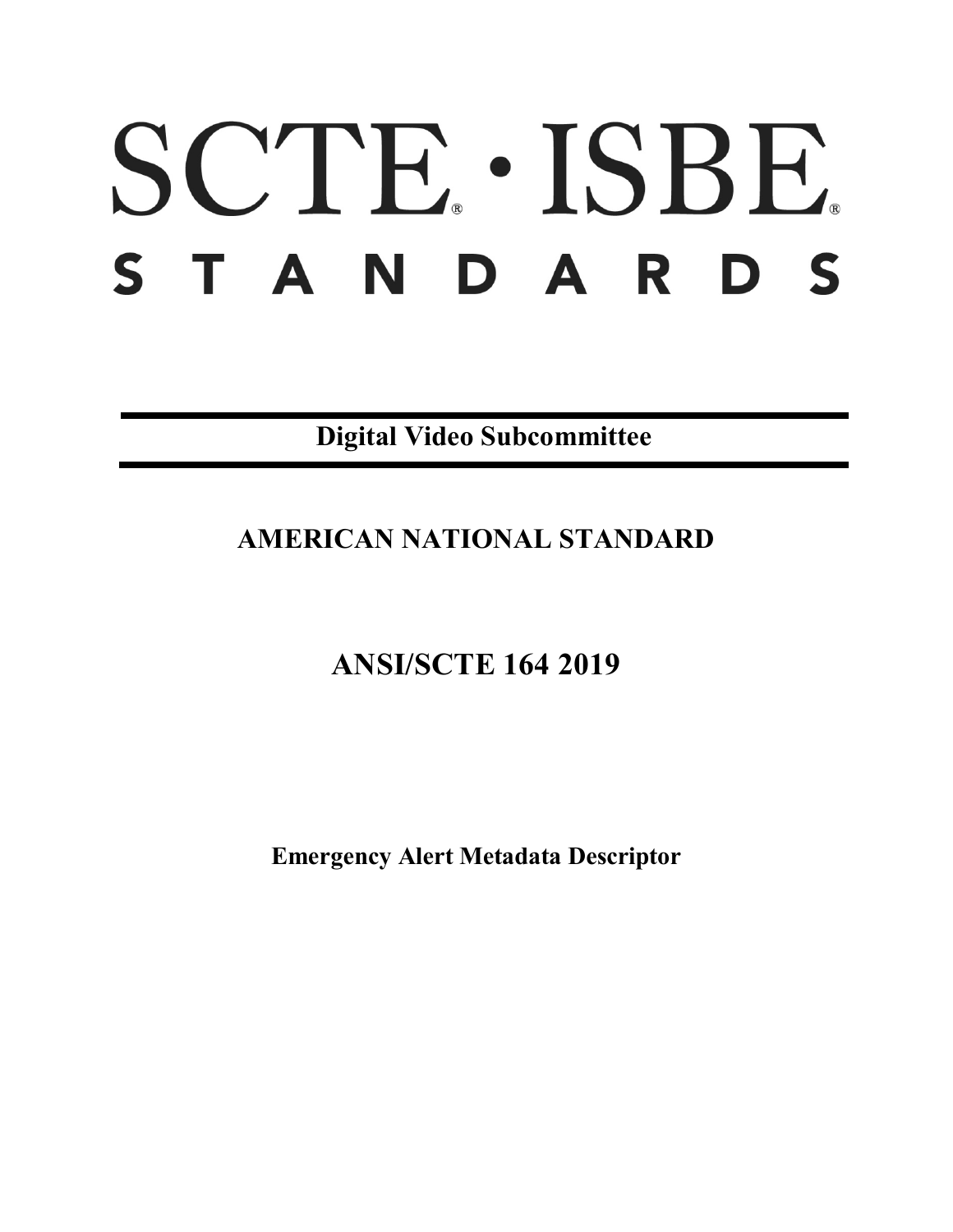# SCTE · ISBE. STANDARDS

**Digital Video Subcommittee**

## **AMERICAN NATIONAL STANDARD**

# **ANSI/SCTE 164 2019**

**Emergency Alert Metadata Descriptor**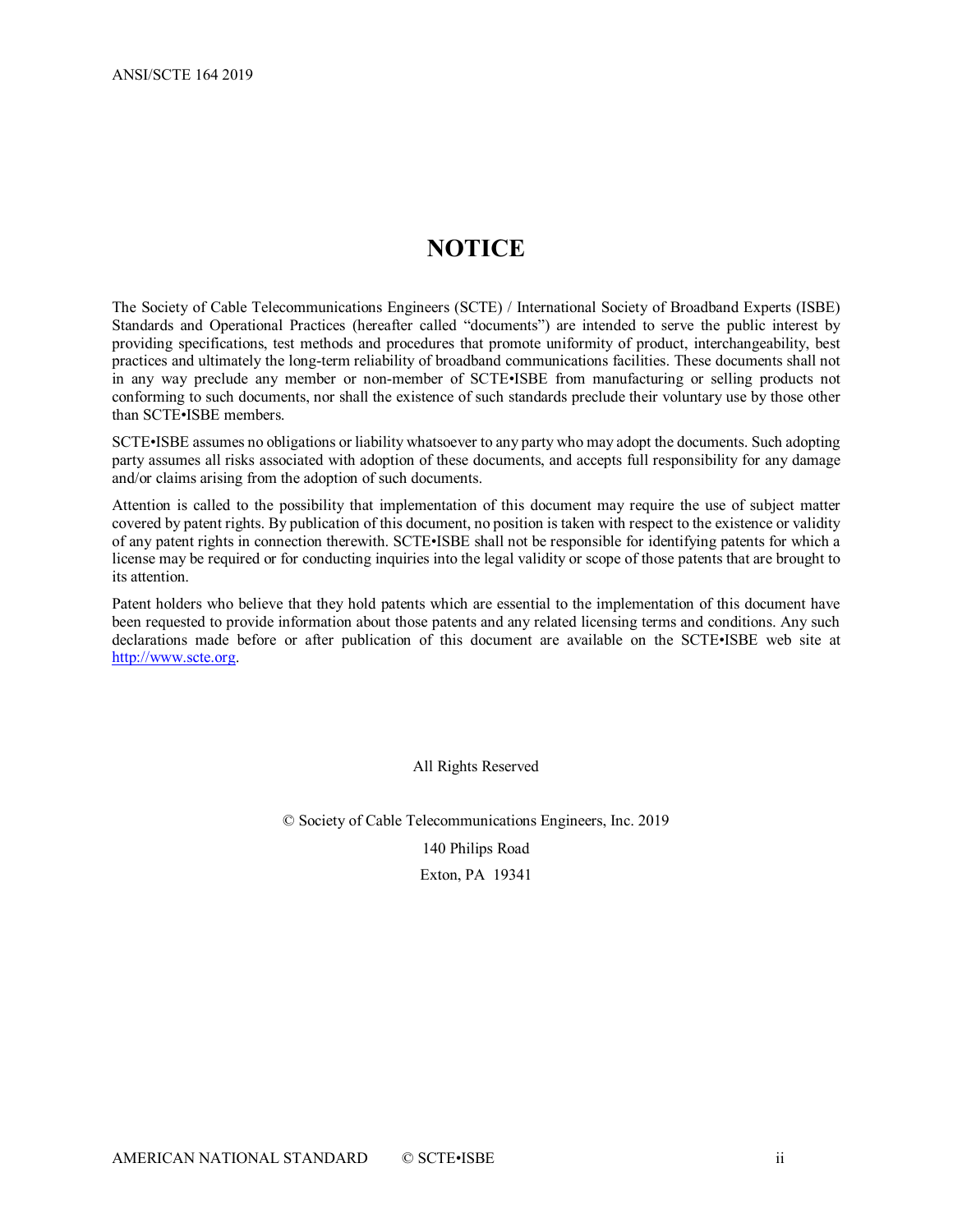### **NOTICE**

The Society of Cable Telecommunications Engineers (SCTE) / International Society of Broadband Experts (ISBE) Standards and Operational Practices (hereafter called "documents") are intended to serve the public interest by providing specifications, test methods and procedures that promote uniformity of product, interchangeability, best practices and ultimately the long-term reliability of broadband communications facilities. These documents shall not in any way preclude any member or non-member of SCTE•ISBE from manufacturing or selling products not conforming to such documents, nor shall the existence of such standards preclude their voluntary use by those other than SCTE•ISBE members.

SCTE•ISBE assumes no obligations or liability whatsoever to any party who may adopt the documents. Such adopting party assumes all risks associated with adoption of these documents, and accepts full responsibility for any damage and/or claims arising from the adoption of such documents.

Attention is called to the possibility that implementation of this document may require the use of subject matter covered by patent rights. By publication of this document, no position is taken with respect to the existence or validity of any patent rights in connection therewith. SCTE•ISBE shall not be responsible for identifying patents for which a license may be required or for conducting inquiries into the legal validity or scope of those patents that are brought to its attention.

Patent holders who believe that they hold patents which are essential to the implementation of this document have been requested to provide information about those patents and any related licensing terms and conditions. Any such declarations made before or after publication of this document are available on the SCTE•ISBE web site at [http://www.scte.org.](http://www.scte.org/)

All Rights Reserved

© Society of Cable Telecommunications Engineers, Inc. 2019 140 Philips Road Exton, PA 19341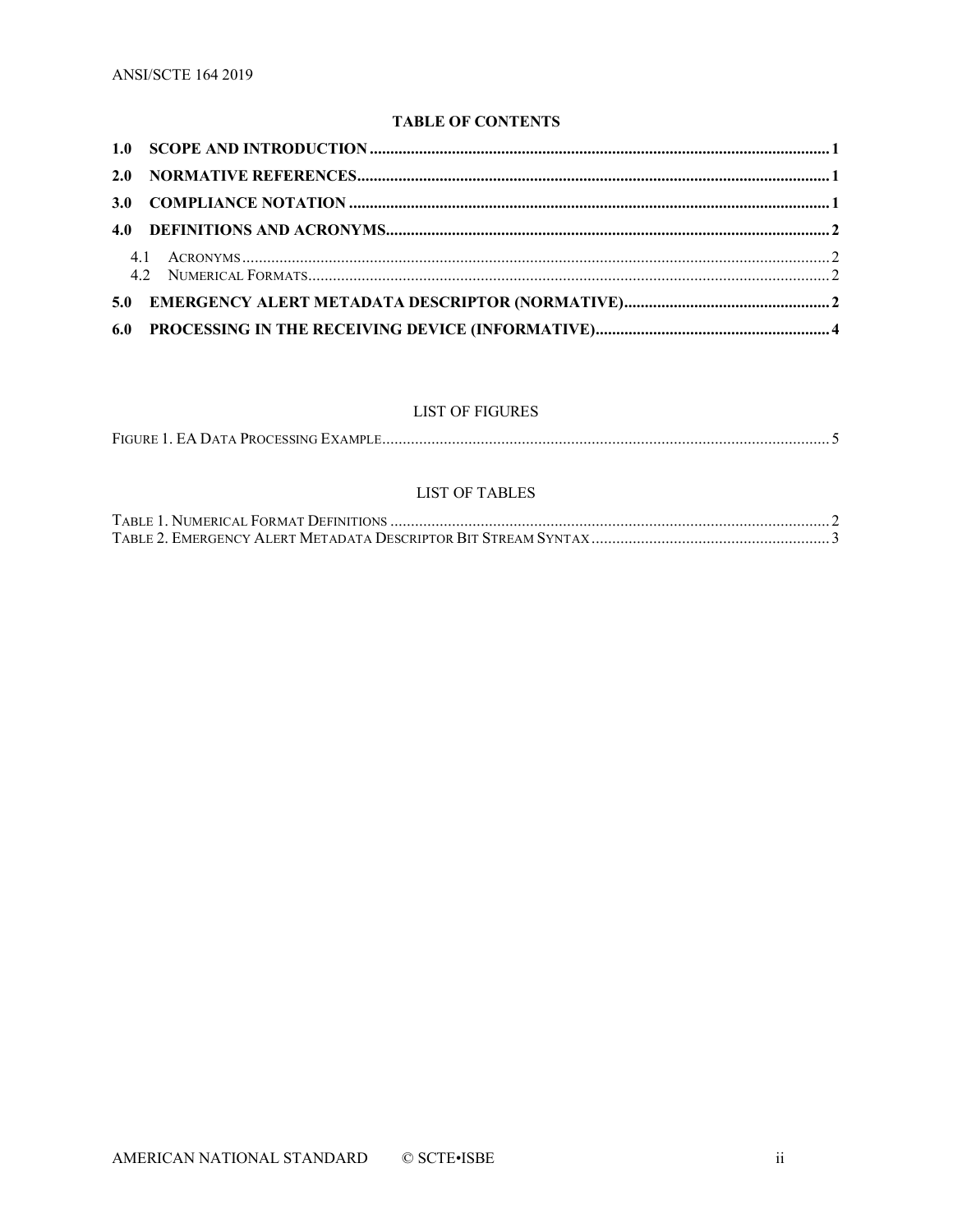#### **TABLE OF CONTENTS**

#### **LIST OF FIGURES**

#### **LIST OF TABLES**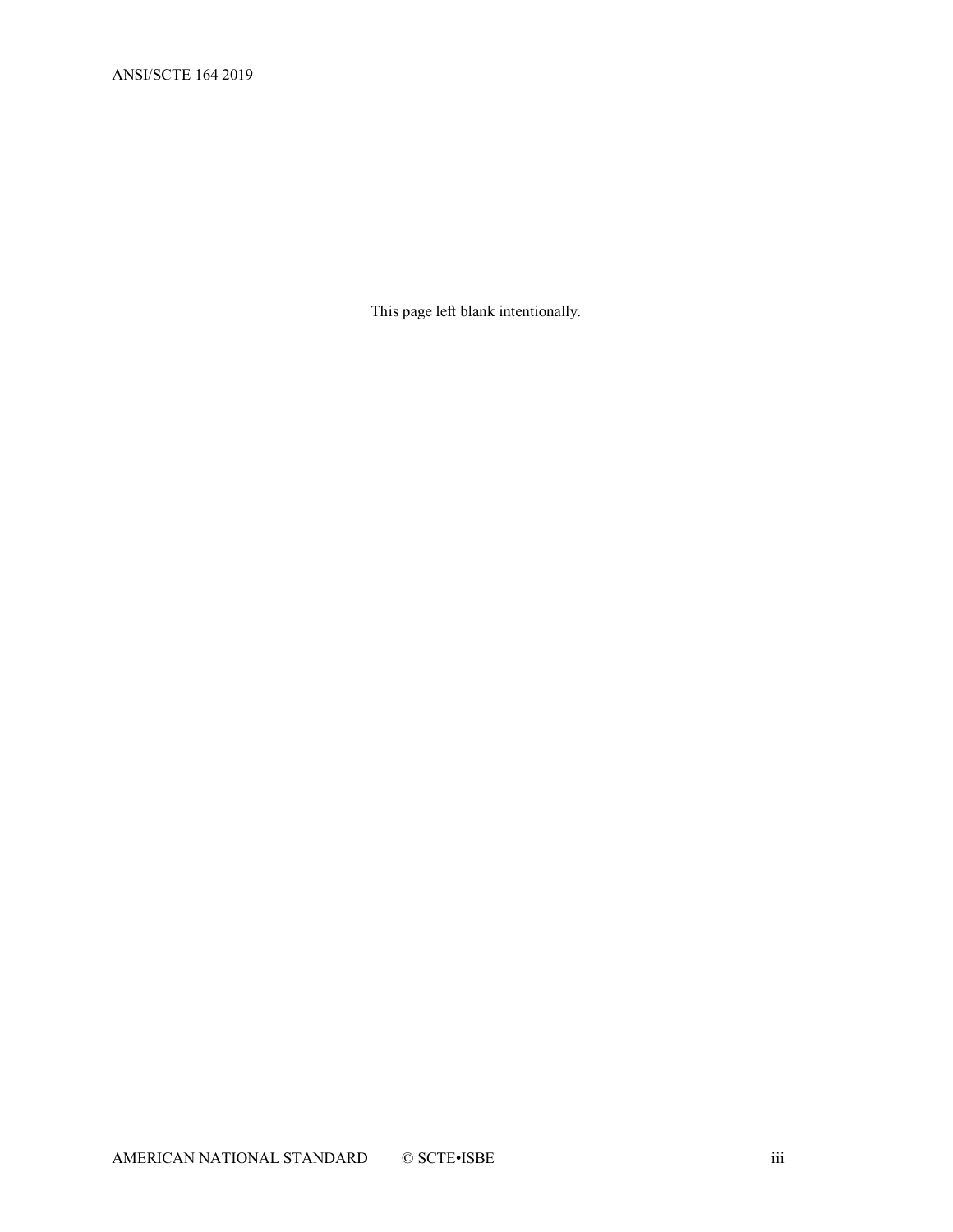This page left blank intentionally.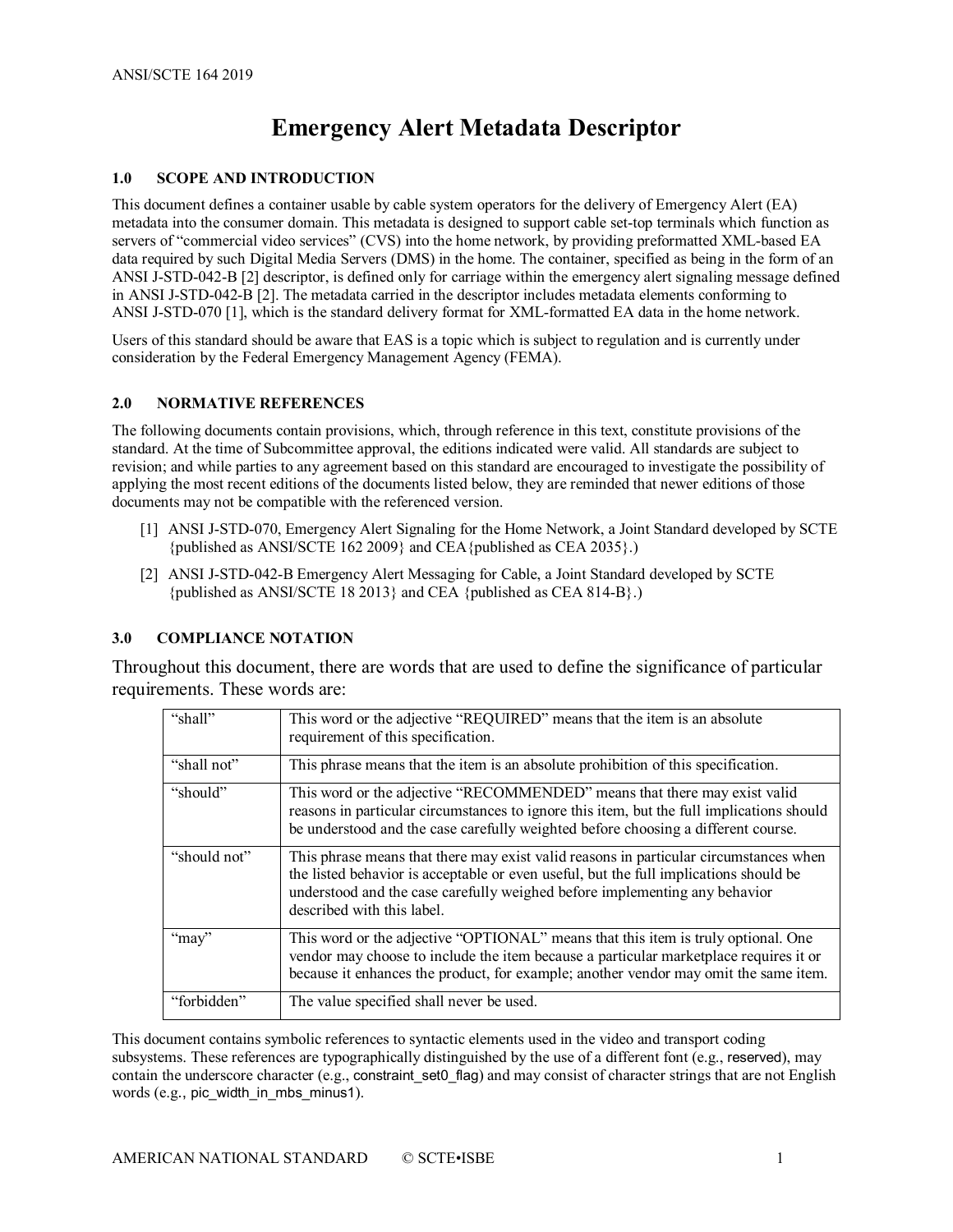## **Emergency Alert Metadata Descriptor**

#### <span id="page-4-0"></span>**1.0 SCOPE AND INTRODUCTION**

This document defines a container usable by cable system operators for the delivery of Emergency Alert (EA) metadata into the consumer domain. This metadata is designed to support cable set-top terminals which function as servers of "commercial video services" (CVS) into the home network, by providing preformatted XML-based EA data required by such Digital Media Servers (DMS) in the home. The container, specified as being in the form of an ANSI J-STD-042-B [\[2\]](#page-4-3) descriptor, is defined only for carriage within the emergency alert signaling message defined in ANSI J-STD-042-B [\[2\].](#page-4-3) The metadata carried in the descriptor includes metadata elements conforming to ANSI J-STD-070 [\[1\],](#page-4-4) which is the standard delivery format for XML-formatted EA data in the home network.

Users of this standard should be aware that EAS is a topic which is subject to regulation and is currently under consideration by the Federal Emergency Management Agency (FEMA).

#### <span id="page-4-1"></span>**2.0 NORMATIVE REFERENCES**

The following documents contain provisions, which, through reference in this text, constitute provisions of the standard. At the time of Subcommittee approval, the editions indicated were valid. All standards are subject to revision; and while parties to any agreement based on this standard are encouraged to investigate the possibility of applying the most recent editions of the documents listed below, they are reminded that newer editions of those documents may not be compatible with the referenced version.

- <span id="page-4-4"></span>[1] ANSI J-STD-070, Emergency Alert Signaling for the Home Network, a Joint Standard developed by SCTE {published as ANSI/SCTE 162 2009} and CEA{published as CEA 2035}.)
- <span id="page-4-3"></span>[2] ANSI J-STD-042-B Emergency Alert Messaging for Cable, a Joint Standard developed by SCTE {published as ANSI/SCTE 18 2013} and CEA {published as CEA 814-B}.)

#### <span id="page-4-2"></span>**3.0 COMPLIANCE NOTATION**

Throughout this document, there are words that are used to define the significance of particular requirements. These words are:

| "shall"      | This word or the adjective "REQUIRED" means that the item is an absolute<br>requirement of this specification.                                                                                                                                                                             |
|--------------|--------------------------------------------------------------------------------------------------------------------------------------------------------------------------------------------------------------------------------------------------------------------------------------------|
| "shall not"  | This phrase means that the item is an absolute prohibition of this specification.                                                                                                                                                                                                          |
| "should"     | This word or the adjective "RECOMMENDED" means that there may exist valid<br>reasons in particular circumstances to ignore this item, but the full implications should<br>be understood and the case carefully weighted before choosing a different course.                                |
| "should not" | This phrase means that there may exist valid reasons in particular circumstances when<br>the listed behavior is acceptable or even useful, but the full implications should be<br>understood and the case carefully weighed before implementing any behavior<br>described with this label. |
| "may"        | This word or the adjective "OPTIONAL" means that this item is truly optional. One<br>vendor may choose to include the item because a particular marketplace requires it or<br>because it enhances the product, for example; another vendor may omit the same item.                         |
| "forbidden"  | The value specified shall never be used.                                                                                                                                                                                                                                                   |

This document contains symbolic references to syntactic elements used in the video and transport coding subsystems. These references are typographically distinguished by the use of a different font (e.g., reserved), may contain the underscore character (e.g., constraint set0 flag) and may consist of character strings that are not English words (e.g., pic width in mbs minus1).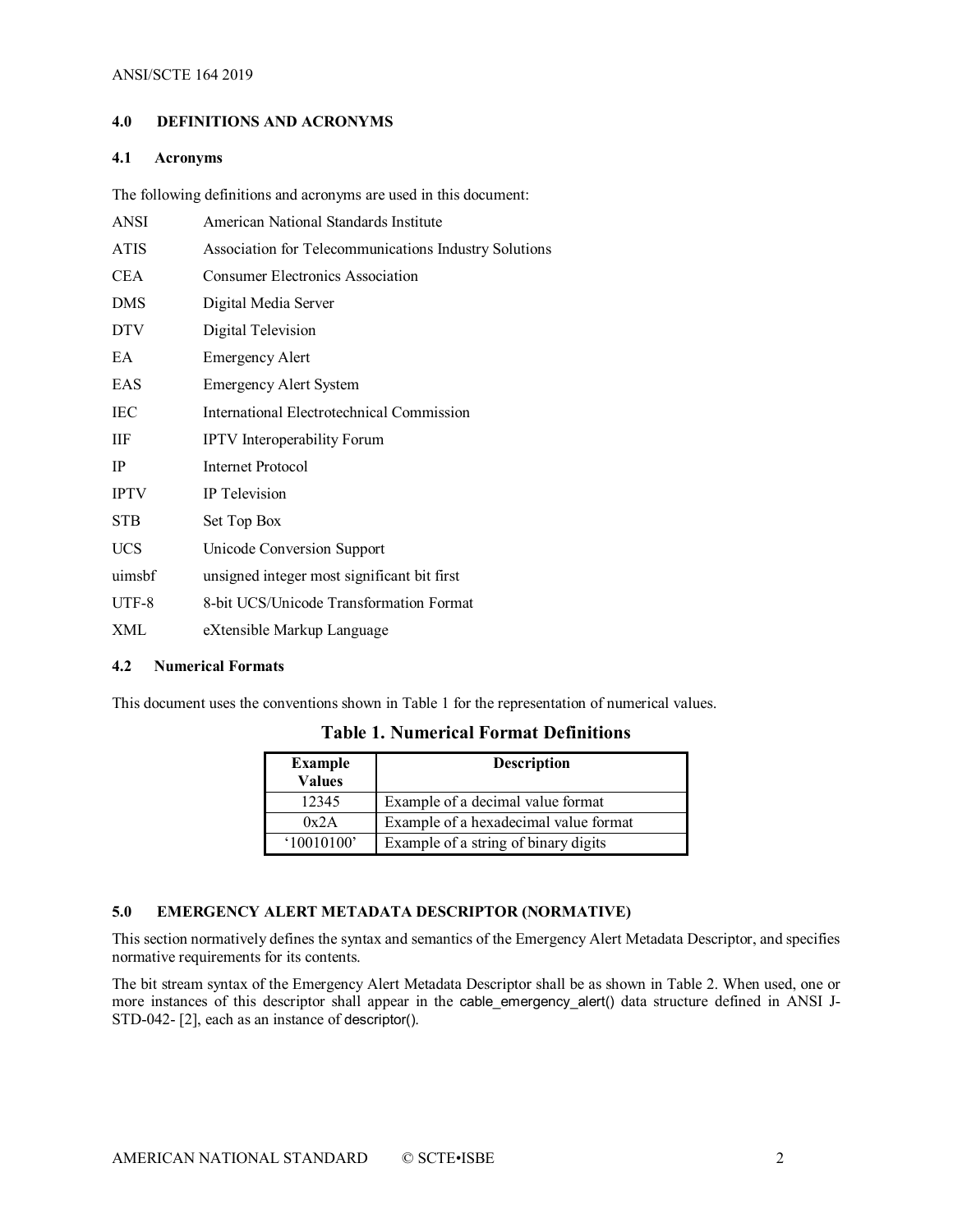#### <span id="page-5-0"></span>**4.0 DEFINITIONS AND ACRONYMS**

#### <span id="page-5-1"></span>**4.1 Acronyms**

The following definitions and acronyms are used in this document:

| ANSI        | American National Standards Institute                 |
|-------------|-------------------------------------------------------|
| <b>ATIS</b> | Association for Telecommunications Industry Solutions |
| <b>CEA</b>  | <b>Consumer Electronics Association</b>               |
| <b>DMS</b>  | Digital Media Server                                  |
| <b>DTV</b>  | Digital Television                                    |
| EA          | <b>Emergency Alert</b>                                |
| EAS         | <b>Emergency Alert System</b>                         |
| <b>IEC</b>  | International Electrotechnical Commission             |
| IIF         | <b>IPTV</b> Interoperability Forum                    |
| <b>IP</b>   | <b>Internet Protocol</b>                              |
| <b>IPTV</b> | IP Television                                         |
| STB         | Set Top Box                                           |
| <b>UCS</b>  | Unicode Conversion Support                            |
| uimsbf      | unsigned integer most significant bit first           |
| UTF-8       | 8-bit UCS/Unicode Transformation Format               |
| XML         | eXtensible Markup Language                            |

#### <span id="page-5-2"></span>**4.2 Numerical Formats**

<span id="page-5-4"></span>This document uses the conventions shown in [Table 1](#page-5-4) for the representation of numerical values.

| <b>Example</b><br><b>Values</b> | <b>Description</b>                    |
|---------------------------------|---------------------------------------|
| 12345                           | Example of a decimal value format     |
| 0x2A                            | Example of a hexadecimal value format |
| '10010100'                      | Example of a string of binary digits  |

**Table 1. Numerical Format Definitions**

#### <span id="page-5-3"></span>**5.0 EMERGENCY ALERT METADATA DESCRIPTOR (NORMATIVE)**

This section normatively defines the syntax and semantics of the Emergency Alert Metadata Descriptor, and specifies normative requirements for its contents.

The bit stream syntax of the Emergency Alert Metadata Descriptor shall be as shown in [Table 2.](#page-6-0) When used, one or more instances of this descriptor shall appear in the cable\_emergency\_alert() data structure defined in [ANSI J-](#page-4-3)[STD-042-](#page-4-3) [\[2\],](#page-4-3) each as an instance of descriptor().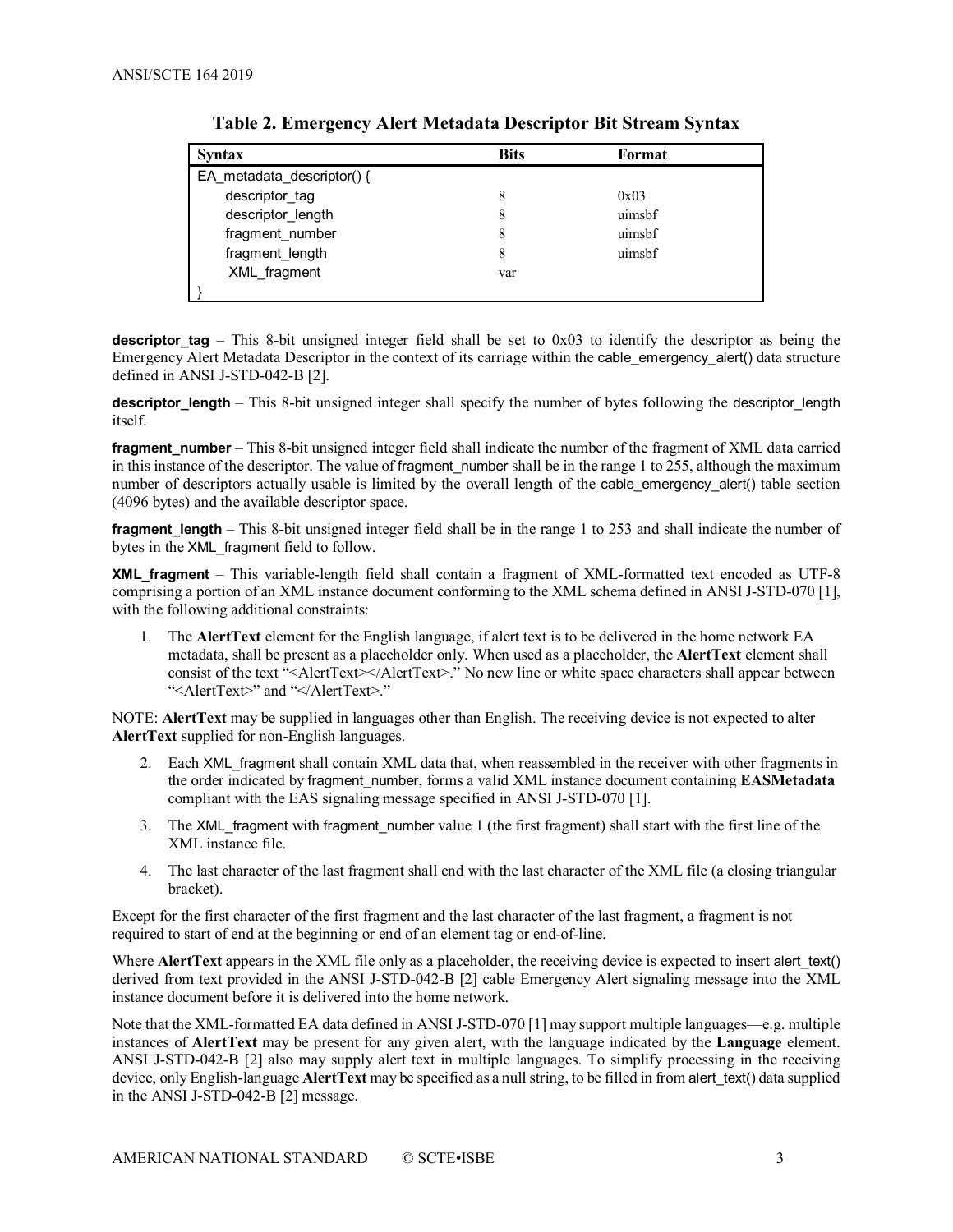<span id="page-6-0"></span>

| <b>Syntax</b>              | <b>Bits</b> | Format |  |  |
|----------------------------|-------------|--------|--|--|
| EA_metadata_descriptor() { |             |        |  |  |
| descriptor tag             | 8           | 0x03   |  |  |
| descriptor_length          | 8           | uimsbf |  |  |
| fragment_number            | 8           | uimsbf |  |  |
| fragment_length            | 8           | uimsbf |  |  |
| XML_fragment               | var         |        |  |  |
|                            |             |        |  |  |

|  |  | Table 2. Emergency Alert Metadata Descriptor Bit Stream Syntax |
|--|--|----------------------------------------------------------------|
|  |  |                                                                |

**descriptor\_tag** – This 8-bit unsigned integer field shall be set to 0x03 to identify the descriptor as being the Emergency Alert Metadata Descriptor in the context of its carriage within the cable\_emergency\_alert() data structure defined in [ANSI J-STD-042-B](#page-4-3) [\[2\].](#page-4-3)

**descriptor\_length** – This 8-bit unsigned integer shall specify the number of bytes following the descriptor\_length itself.

**fragment** number – This 8-bit unsigned integer field shall indicate the number of the fragment of XML data carried in this instance of the descriptor. The value of fragment number shall be in the range 1 to 255, although the maximum number of descriptors actually usable is limited by the overall length of the cable emergency alert() table section (4096 bytes) and the available descriptor space.

**fragment length** – This 8-bit unsigned integer field shall be in the range 1 to 253 and shall indicate the number of bytes in the XML fragment field to follow.

**XML\_fragment** – This variable-length field shall contain a fragment of XML-formatted text encoded as UTF-8 comprising a portion of an XML instance document conforming to the XML schema defined in ANSI J-STD-070 [\[1\],](#page-4-4) with the following additional constraints:

1. The **AlertText** element for the English language, if alert text is to be delivered in the home network EA metadata, shall be present as a placeholder only. When used as a placeholder, the **AlertText** element shall consist of the text "<AlertText></AlertText>." No new line or white space characters shall appear between "<AlertText>" and "</AlertText>."

NOTE: **AlertText** may be supplied in languages other than English. The receiving device is not expected to alter **AlertText** supplied for non-English languages.

- 2. Each XML\_fragment shall contain XML data that, when reassembled in the receiver with other fragments in the order indicated by fragment\_number, forms a valid XML instance document containing **EASMetadata** compliant with the EAS signaling message specified in ANSI J-STD-070 [\[1\].](#page-4-4)
- 3. The XML\_fragment with fragment\_number value 1 (the first fragment) shall start with the first line of the XML instance file.
- 4. The last character of the last fragment shall end with the last character of the XML file (a closing triangular bracket).

Except for the first character of the first fragment and the last character of the last fragment, a fragment is not required to start of end at the beginning or end of an element tag or end-of-line.

Where **AlertText** appears in the XML file only as a placeholder, the receiving device is expected to insert alert text() derived from text provided in the [ANSI J-STD-042-B](#page-4-3) [\[2\]](#page-4-3) cable Emergency Alert signaling message into the XML instance document before it is delivered into the home network.

Note that the XML-formatted EA data defined in ANSI J-STD-070 [\[1\]](#page-4-4) may support multiple languages—e.g. multiple instances of **AlertText** may be present for any given alert, with the language indicated by the **Language** element. [ANSI J-STD-042-B](#page-4-3) [\[2\]](#page-4-3) also may supply alert text in multiple languages. To simplify processing in the receiving device, only English-language **AlertText** may be specified as a null string, to be filled in from alert text() data supplied in the [ANSI J-STD-042-B](#page-4-3) [\[2\]](#page-4-3) message.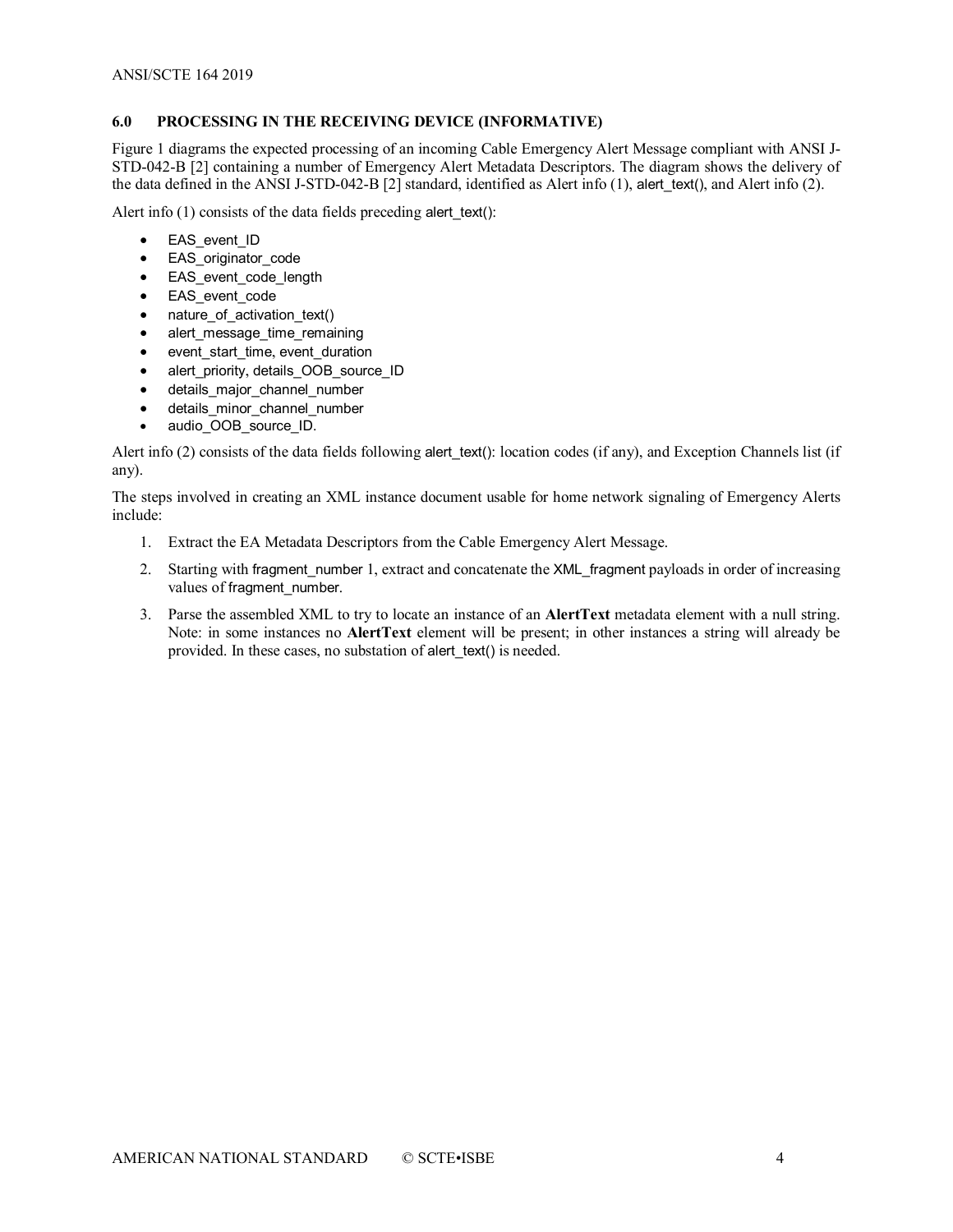#### <span id="page-7-0"></span>**6.0 PROCESSING IN THE RECEIVING DEVICE (INFORMATIVE)**

[Figure 1](#page-8-0) diagrams the expected processing of an incoming Cable Emergency Alert Message compliant with [ANSI J-](#page-4-3)[STD-042-B](#page-4-3) [\[2\]](#page-4-3) containing a number of Emergency Alert Metadata Descriptors. The diagram shows the delivery of the data defined in th[e ANSI J-STD-042-B](#page-4-3)  $[2]$  standard, identified as Alert info  $(1)$ , alert text(), and Alert info  $(2)$ .

Alert info (1) consists of the data fields preceding alert\_text():

- EAS\_event\_ID
- EAS originator code
- EAS event code length
- EAS event code
- nature\_of\_activation\_text()
- alert message time remaining
- event\_start\_time, event\_duration
- alert\_priority, details\_OOB\_source\_ID
- details major channel number
- details minor channel number
- audio\_OOB\_source\_ID.

Alert info (2) consists of the data fields following alert\_text(): location codes (if any), and Exception Channels list (if any).

The steps involved in creating an XML instance document usable for home network signaling of Emergency Alerts include:

- 1. Extract the EA Metadata Descriptors from the Cable Emergency Alert Message.
- 2. Starting with fragment number 1, extract and concatenate the XML fragment payloads in order of increasing values of fragment number.
- 3. Parse the assembled XML to try to locate an instance of an **AlertText** metadata element with a null string. Note: in some instances no **AlertText** element will be present; in other instances a string will already be provided. In these cases, no substation of alert\_text() is needed.